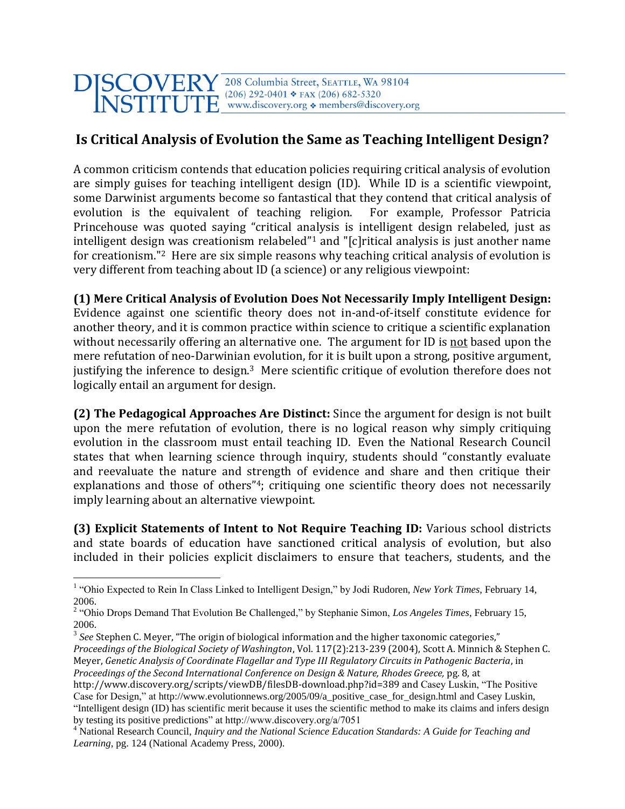## DISCOVERY 208 Columbia Street, SEATTLE, WA 98104<br>NSTITUTE WWW.discovery.org \* members@discovery.org

## **Is Critical Analysis of Evolution the Same as Teaching Intelligent Design?**

A common criticism contends that education policies requiring critical analysis of evolution are simply guises for teaching intelligent design (ID). While ID is a scientific viewpoint, some Darwinist arguments become so fantastical that they contend that critical analysis of evolution is the equivalent of teaching religion. For example, Professor Patricia Princehouse was quoted saying "critical analysis is intelligent design relabeled, just as intelligent design was creationism relabeled"<sup>1</sup> and "[c]ritical analysis is just another name for creationism."2 Here are six simple reasons why teaching critical analysis of evolution is very different from teaching about ID (a science) or any religious viewpoint:

**(1) Mere Critical Analysis of Evolution Does Not Necessarily Imply Intelligent Design:**  Evidence against one scientific theory does not in-and-of-itself constitute evidence for another theory, and it is common practice within science to critique a scientific explanation without necessarily offering an alternative one. The argument for ID is not based upon the mere refutation of neo-Darwinian evolution, for it is built upon a strong, positive argument, justifying the inference to design.<sup>3</sup> Mere scientific critique of evolution therefore does not logically entail an argument for design.

**(2) The Pedagogical Approaches Are Distinct:** Since the argument for design is not built upon the mere refutation of evolution, there is no logical reason why simply critiquing evolution in the classroom must entail teaching ID. Even the National Research Council states that when learning science through inquiry, students should "constantly evaluate and reevaluate the nature and strength of evidence and share and then critique their explanations and those of others"<sup>4</sup>; critiquing one scientific theory does not necessarily imply learning about an alternative viewpoint.

**(3) Explicit Statements of Intent to Not Require Teaching ID:** Various school districts and state boards of education have sanctioned critical analysis of evolution, but also included in their policies explicit disclaimers to ensure that teachers, students, and the

 $\overline{a}$ 

<sup>&</sup>lt;sup>1</sup> "Ohio Expected to Rein In Class Linked to Intelligent Design," by Jodi Rudoren, *New York Times*, February 14, 2006.

<sup>&</sup>lt;sup>2</sup> "Ohio Drops Demand That Evolution Be Challenged," by Stephanie Simon, *Los Angeles Times*, February 15, 2006.

<sup>&</sup>lt;sup>3</sup> See Stephen C. Meyer, "The origin of biological information and the higher taxonomic categories," *Proceedings of the Biological Society of Washington*, Vol. 117(2):213-239 (2004), Scott A. Minnich & Stephen C.

Meyer, *Genetic Analysis of Coordinate Flagellar and Type III Regulatory Circuits in Pathogenic Bacteria*, in *Proceedings of the Second International Conference on Design & Nature, Rhodes Greece,* pg. 8, at

http://www.discovery.org/scripts/viewDB/filesDB-download.php?id=389 and Casey Luskin, "The Positive Case for Design," at http://www.evolutionnews.org/2005/09/a\_positive\_case\_for\_design.html and Casey Luskin, "Intelligent design (ID) has scientific merit because it uses the scientific method to make its claims and infers design by testing its positive predictions" at http://www.discovery.org/a/7051

<sup>4</sup> National Research Council, *Inquiry and the National Science Education Standards: A Guide for Teaching and Learning*, pg. 124 (National Academy Press, 2000).